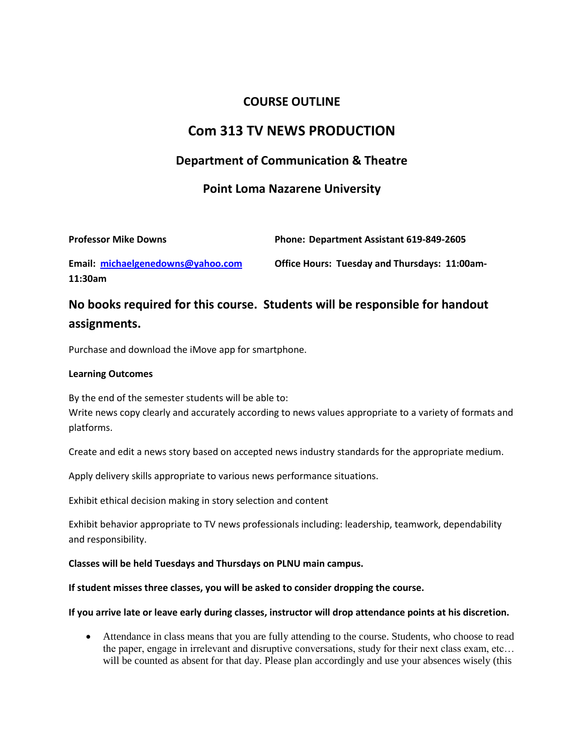# **COURSE OUTLINE**

# **Com 313 TV NEWS PRODUCTION**

# **Department of Communication & Theatre**

# **Point Loma Nazarene University**

| <b>Professor Mike Downs</b> | Phone: Department Assistant 619-849-2605 |
|-----------------------------|------------------------------------------|
|                             |                                          |

**Email: [michaelgenedowns@yahoo.com](mailto:michaelgenedowns@yahoo.com) Office Hours: Tuesday and Thursdays: 11:00am-11:30am**

# **No books required for this course. Students will be responsible for handout assignments.**

Purchase and download the iMove app for smartphone.

## **Learning Outcomes**

By the end of the semester students will be able to: Write news copy clearly and accurately according to news values appropriate to a variety of formats and platforms.

Create and edit a news story based on accepted news industry standards for the appropriate medium.

Apply delivery skills appropriate to various news performance situations.

Exhibit ethical decision making in story selection and content

Exhibit behavior appropriate to TV news professionals including: leadership, teamwork, dependability and responsibility.

### **Classes will be held Tuesdays and Thursdays on PLNU main campus.**

### **If student misses three classes, you will be asked to consider dropping the course.**

### **If you arrive late or leave early during classes, instructor will drop attendance points at his discretion.**

 Attendance in class means that you are fully attending to the course. Students, who choose to read the paper, engage in irrelevant and disruptive conversations, study for their next class exam, etc… will be counted as absent for that day. Please plan accordingly and use your absences wisely (this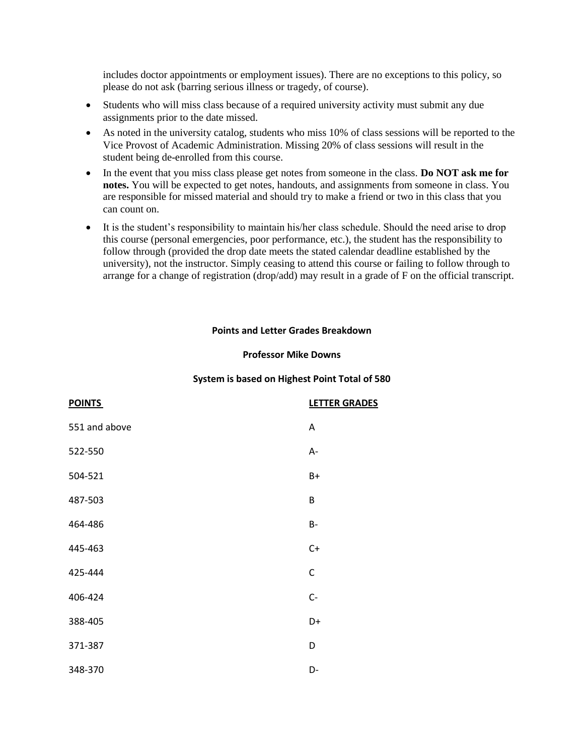includes doctor appointments or employment issues). There are no exceptions to this policy, so please do not ask (barring serious illness or tragedy, of course).

- Students who will miss class because of a required university activity must submit any due assignments prior to the date missed.
- As noted in the university catalog, students who miss 10% of class sessions will be reported to the Vice Provost of Academic Administration. Missing 20% of class sessions will result in the student being de-enrolled from this course.
- In the event that you miss class please get notes from someone in the class. **Do NOT ask me for notes.** You will be expected to get notes, handouts, and assignments from someone in class. You are responsible for missed material and should try to make a friend or two in this class that you can count on.
- It is the student's responsibility to maintain his/her class schedule. Should the need arise to drop this course (personal emergencies, poor performance, etc.), the student has the responsibility to follow through (provided the drop date meets the stated calendar deadline established by the university), not the instructor. Simply ceasing to attend this course or failing to follow through to arrange for a change of registration (drop/add) may result in a grade of F on the official transcript.

#### **Points and Letter Grades Breakdown**

#### **Professor Mike Downs**

#### **System is based on Highest Point Total of 580**

| <b>POINTS</b> | <b>LETTER GRADES</b> |
|---------------|----------------------|
| 551 and above | A                    |
| 522-550       | A-                   |
| 504-521       | $B+$                 |
| 487-503       | B                    |
| 464-486       | $B -$                |
| 445-463       | $C+$                 |
| 425-444       | $\mathsf C$          |
| 406-424       | $C-$                 |
| 388-405       | D+                   |
| 371-387       | D                    |
| 348-370       | D-                   |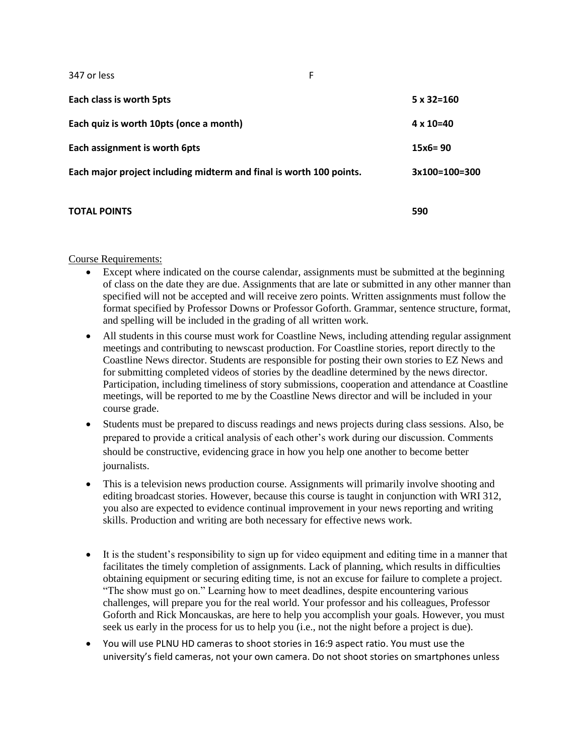**Each class is worth 5pts 5 x 32=160 Each quiz is worth 10pts (once a month) 4 x 10=40 Each assignment is worth 6pts 15x6= 90 Each major project including midterm and final is worth 100 points. 3x100=100=300**

# **TOTAL POINTS 590**

#### Course Requirements:

- Except where indicated on the course calendar, assignments must be submitted at the beginning of class on the date they are due. Assignments that are late or submitted in any other manner than specified will not be accepted and will receive zero points. Written assignments must follow the format specified by Professor Downs or Professor Goforth. Grammar, sentence structure, format, and spelling will be included in the grading of all written work.
- All students in this course must work for Coastline News, including attending regular assignment meetings and contributing to newscast production. For Coastline stories, report directly to the Coastline News director. Students are responsible for posting their own stories to EZ News and for submitting completed videos of stories by the deadline determined by the news director. Participation, including timeliness of story submissions, cooperation and attendance at Coastline meetings, will be reported to me by the Coastline News director and will be included in your course grade.
- Students must be prepared to discuss readings and news projects during class sessions. Also, be prepared to provide a critical analysis of each other's work during our discussion. Comments should be constructive, evidencing grace in how you help one another to become better journalists.
- This is a television news production course. Assignments will primarily involve shooting and editing broadcast stories. However, because this course is taught in conjunction with WRI 312, you also are expected to evidence continual improvement in your news reporting and writing skills. Production and writing are both necessary for effective news work.
- It is the student's responsibility to sign up for video equipment and editing time in a manner that facilitates the timely completion of assignments. Lack of planning, which results in difficulties obtaining equipment or securing editing time, is not an excuse for failure to complete a project. "The show must go on." Learning how to meet deadlines, despite encountering various challenges, will prepare you for the real world. Your professor and his colleagues, Professor Goforth and Rick Moncauskas, are here to help you accomplish your goals. However, you must seek us early in the process for us to help you (i.e., not the night before a project is due).
- You will use PLNU HD cameras to shoot stories in 16:9 aspect ratio. You must use the university's field cameras, not your own camera. Do not shoot stories on smartphones unless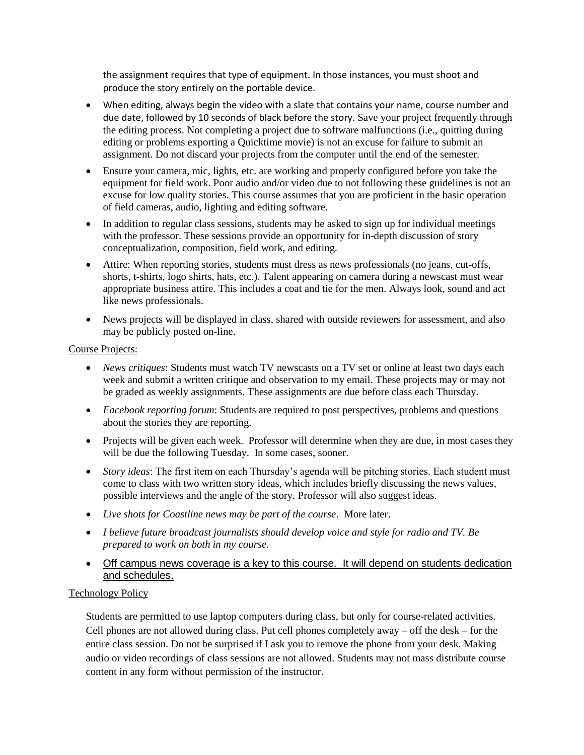the assignment requires that type of equipment. In those instances, you must shoot and produce the story entirely on the portable device.

- When editing, always begin the video with a slate that contains your name, course number and due date, followed by 10 seconds of black before the story. Save your project frequently through the editing process. Not completing a project due to software malfunctions (i.e., quitting during editing or problems exporting a Quicktime movie) is not an excuse for failure to submit an assignment. Do not discard your projects from the computer until the end of the semester.
- Ensure your camera, mic, lights, etc. are working and properly configured before you take the equipment for field work. Poor audio and/or video due to not following these guidelines is not an excuse for low quality stories. This course assumes that you are proficient in the basic operation of field cameras, audio, lighting and editing software.
- In addition to regular class sessions, students may be asked to sign up for individual meetings with the professor. These sessions provide an opportunity for in-depth discussion of story conceptualization, composition, field work, and editing.
- Attire: When reporting stories, students must dress as news professionals (no jeans, cut-offs, shorts, t-shirts, logo shirts, hats, etc.). Talent appearing on camera during a newscast must wear appropriate business attire. This includes a coat and tie for the men. Always look, sound and act like news professionals.
- News projects will be displayed in class, shared with outside reviewers for assessment, and also may be publicly posted on-line.

## Course Projects:

- *News critiques*: Students must watch TV newscasts on a TV set or online at least two days each week and submit a written critique and observation to my email. These projects may or may not be graded as weekly assignments. These assignments are due before class each Thursday.
- *Facebook reporting forum*: Students are required to post perspectives, problems and questions about the stories they are reporting.
- Projects will be given each week. Professor will determine when they are due, in most cases they will be due the following Tuesday. In some cases, sooner.
- *Story ideas*: The first item on each Thursday's agenda will be pitching stories. Each student must come to class with two written story ideas, which includes briefly discussing the news values, possible interviews and the angle of the story. Professor will also suggest ideas.
- *Live shots for Coastline news may be part of the course*. More later.
- *I believe future broadcast journalists should develop voice and style for radio and TV. Be prepared to work on both in my course.*
- Off campus news coverage is a key to this course. It will depend on students dedication and schedules.

# Technology Policy

Students are permitted to use laptop computers during class, but only for course-related activities. Cell phones are not allowed during class. Put cell phones completely away – off the desk – for the entire class session. Do not be surprised if I ask you to remove the phone from your desk. Making audio or video recordings of class sessions are not allowed. Students may not mass distribute course content in any form without permission of the instructor.